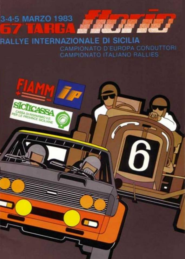## 3-4-5 MARZO 1983 **STACK BEST**

RALLYE INTERNAZIONALE DI SICILIA CAMPIONATO D'EUROPA CONDUTTORI CAMPIONATO ITALIANO RALLIES

T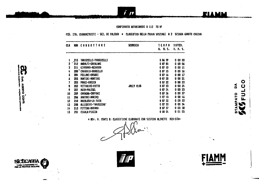### CAMPIONATO AUTOBIANCHI A 112 70 MP

### FED. ITA. CRONOMETRISTI - SEZ. DI PALERNO \* CLASSIFICA DELLA PROVA SPECIALE A 2 SCIARA GAMOTO CAGIVA

in

| CLA | <b>KUM</b> | CONDUTTORI                   | <b>SCUDERIA</b>   | TENPO                  | DIFFER.         |
|-----|------------|------------------------------|-------------------|------------------------|-----------------|
|     |            |                              |                   | N. N.S.                | H. M. S.        |
|     | 215        | <b>FORRICELLI-TORRICELLI</b> |                   | 0 06 59                | 000<br>-00      |
| 2   | 212        | ANDOLFI-ERCOLANI             |                   | 007<br>-85             | 000<br>-06      |
| 3   | 211        | CIORDANO-HEDARDO             |                   | 0 <sub>07</sub><br>10  | 0 00<br>-11     |
| 4   |            | 200 CANOBBIO-OROBELLO        |                   | 0 <sub>07</sub><br>15  | 0 00 16         |
| 5   | 204        | FELLONI-CASARI               |                   | 007<br>-16             | 0 00 17         |
| 4   | 205        | KONTINI-NONTINI              |                   | 0.07<br>20             | 00021           |
| 7   | 201        | POGGI-KODICA                 |                   | 0 07 22                | 0 00<br>-23     |
| 8   | 202        | VITTADINI-COTTO              | <b>JOLLY CLUB</b> | 0 07 23                | $0 - 00$<br>-24 |
| 9   | 207        | KUIN-POLESEL                 |                   | 24<br>007              | 0 OD<br>25      |
| 10  | 209        | CAVAGNA-CAFPONI              |                   | 0 <sub>07</sub><br>-36 | 00037           |
| 11  | 206        | ANATORI-NARINO               |                   | 00745                  | 00046           |
| 12  | 210        | HACALUSO-LA FATA             |                   | 0 O7<br>-52            | 0 00 53         |
| 13  | 208        | ALLEGRINI-'NAUSICAA'         |                   | 00753                  | -00<br>-54<br>o |
| 14  | 213        | PITTINO-NARANO               |                   | 007<br>-57             | 0 00<br>58      |
| 15  | 201        | CIGRLA-PIRZZA                |                   | 0 <sub>08</sub><br>04  | 05<br>01<br>0   |

2

**Doll, AlBERTO COMTI**<br>Doll, AlBERTO COMTI

**CASSA DI PASPARANO V.E.<br>BALLE PROVINCE SICHAME** 

\* HOr. A. CONTI I: CLASSIFICHE ELABORATE CON SISTEMA OLIVETTI M20-STN\*

WIAMM

 $\mathbf{C}$ 

EUL

 $\mathbf{\hat{a}}$ 

ATO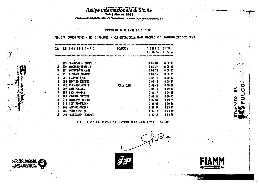### Rallye Internazionale di Sicilia

CAMPIONATO D'EUROPA RALLES CONDUTTORI AMPIONATO ITALIANO DEI RALLIES

CAMPIONATO AUTOBIANCHI A 112 70 HP

أيسين  $\mathbf{C}$  .  $\mathbf{r}$  $\frac{1}{2}$  .

 $\mathbf{c}$ 

 $\overline{\phantom{a}}$ 

u.

δ

O<br>T<br>C

### FED. ITA. CRONOMETRISTI - SEZ. DI PALERMO \* CLASSIFICA DELLA PROVA SPECIALE 8 3 MONTENAGGIORE SICILCASSA

| CLA                   |     | HUM CONDUTTORI         | <b>SCUDERIA</b>   | TEKPO<br>H. M. S.      | DIFFER.<br>.    |
|-----------------------|-----|------------------------|-------------------|------------------------|-----------------|
|                       |     |                        |                   |                        |                 |
|                       | 215 | TORRICELLI-TORRICELLI  |                   | 0,06,28                | 00000           |
| 2                     | 200 | CAHOBBIO-OROBELLO      |                   | 0 06<br>-29            | 0 00 01         |
| 3                     | 212 | ANDOLFI-ERCOLANI       |                   | 0 06 33                | 0 00 05         |
| 4                     | 211 | CIORDANO-MEDARDO       |                   | 0 06 34                | 0.0006          |
| 5                     | 204 | PELLONI-CASARI         |                   | 0 06<br>-41            | 80013           |
| $\boldsymbol{\delta}$ | 205 | <b>NONTINI-HONTINI</b> |                   | 0 06<br>-42            | 0.0014          |
| - 7                   | 202 | VITTADINI-COTTO        | <b>JOLLY CLUB</b> | <b>D</b> 06<br>42      | 0 00 14         |
| 8                     | 207 | <b>NUIN-POLESEL</b>    |                   | D 06 46                | 00018           |
| 9                     | 203 | POGGI-HODICA           |                   | 0,06,47                | 0 00 19         |
| 10                    | 209 | CAVAGNA-CAPPONI        |                   | 0 06 51                | <b>0 00 23</b>  |
| 11                    | 210 | NACALUSO-LA FATA       |                   | 0 07<br>-03            | 0 00 35         |
| 12                    | 213 | PITTINO-MARANO         |                   | 0 07<br>-04            | 0 00 36         |
| 13                    | 204 | AMATORI-MARINO         |                   | 0 <sub>07</sub><br>-09 | 0 00 41         |
| 14                    | 201 | CIGALA-PIAZZA          |                   | 0 07<br>-17            | CO.<br>-49<br>O |
| 15                    | 209 | ALLEGRINI-'NAUSICAR'   |                   | 0 07 17                | 00 49<br>û      |

# WDr. A. CONTI N: CLASSIFICHE ELABORATE CON SISTEMA OLIVETTI M20-STN\*

 $\sim 10^{-10}$ 

ال عيشته ك

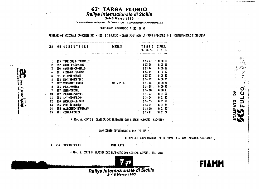### 67\* TARGA FLORIO Rallye Internazionale di Sicilia

**3-4-5 Marzo** 

CAMPIONATO D'EUROPA RALL. ES CONDUTTORI AMPIONATO ITALIANO DEI RALLIES

#### CANPIONATO AUTOBIANCHI A 112 70 NP

FEDERAZIONE NAZIONALE CRONOMETRISTI - SEZ. DI PALERMO \* CLASSIFICA DOPO LA PROVA SPECIALE 8 3 MONTEMAGGIORE SICILCASSA

| CLA |       | <b>RUM CONDUTTORI</b> | <b>SCUDERIA</b>   | TENPO    | DIFFER.         |
|-----|-------|-----------------------|-------------------|----------|-----------------|
|     |       |                       |                   | H. M. S. | <b>H. M. S.</b> |
|     | 215   | TORRICELLI-TORRICELLI |                   | 01327    | 0000            |
| 2   | 212   | ANDOLFI-ERCOLANI      |                   | 0 13 38  | 0 00 11         |
| 3   | 200   | CANOBBIO-OROBELLO     |                   | 01344    | 0 00 17         |
| ¥   | 211   | CIORDANO-HEDARDO      |                   | 01344    | 00017           |
| 5   | 204   | PELLONI-CASARI        |                   | 01357    | 0 00 30         |
| 4   | 205   | NONTINI-NONTINI       |                   | 0 14 02  | 0 00 35         |
| 7   | 202 * | VITTADINI-COTTO       | <b>JOLLY CLUB</b> | 01405    | 0 00 38         |
| 8   | 203   | POGGI-NODICA          |                   | 0.1409   | $0.00 + 2$      |
| 9   | 207   | KUIN-POLESEL          |                   | 01410    | 0 00 43         |
| 10  | 209   | CAVACKA-CAFFONI       |                   | 01427    | 0 01 00         |
| 11  | 206   | AKATORI-NARINO        |                   | 01454    | $0$ 01 27       |
| 12  | 210   | MACALUSO-LA FATA      |                   | 01455    | 0 01 28         |
| 13  | 213   | PITTINO-NARANO        |                   | 01501    | 0 01 34         |
| 14  | 208   | ALLEGRINI-'NAUSICAA'  |                   | 0 15 10  | 00143           |
| 15  | 201   | CIGRLA-PIAZZA         |                   | 0 15 21  | 01 54<br>Ø.     |
|     |       |                       |                   |          |                 |

# MOr. A. CONTI M: CLASSIFICHE ELABORATE CON SISTEMA OLIVETTI M20-STM\*

CAMPIONATO AUTOBIANCHI A 112 70 HP

ELENCO DEI TENPI KANCANTI NELLA FROVA B 3 NONTEKAGGIORE SICILCASS.

1 214 CARRERA-SEVERI

 $\mathbf{r}$ 

**LIBERTO** 

e<br>E

**GRIF.WIRTH** 

# ADr. A. CONTI B: CLASSIFICHE ELABORATE CON SISTEMA OLIVETTI H20-STH\*



**FIAMM** 

 $\bullet$ 

 $\mathbf C$ 

⋍

 $\circ$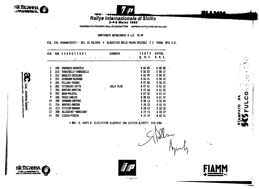



 $\frac{1}{2}$ 

 $\mathcal{F}^{\infty}_{\mathcal{F}}$  $\bullet$ 

 $\overline{O}$ 

 $\frac{1}{1}$ 

lı.

 $\mathbf{\tilde{a}}$ 

**ATO** 

### Rallye Internazionale di Sicilia

CAMPIONATO D'EUROPA RALLES CONDUTTORI AMPIONATO ITALIANO DEI RALLIES

CAMPIONATO AUTOBIANCHI A 112 70 HP

FED. ITA. CRONOMETRISTI - SEZ. DI PALERNO \* CLASSIFICA DELLA PROVA SPECIALE C 3 TARGA OPEL G.N.

| CLA | <b>KUK</b>    | <b>CONDUTTORI</b>                | SCUDERIA<br>その中では、如きていたとして、このことが勝 偶像 | <b>TENPO</b>   | DIFFER.<br>H. M. S. |
|-----|---------------|----------------------------------|--------------------------------------|----------------|---------------------|
|     | - 200         | CANOBBIO-OROBEELO                |                                      | 0 26 08        | 00000               |
|     |               | <b>215 TORRICELLI-TORRICELLI</b> |                                      | 0 26 25        | 0 00 17             |
|     | $212^{\circ}$ | <b>ANDOLFI-ERCOLANI</b>          |                                      | 0, 26, 39      | 0 00 31             |
|     |               | 211 GIORDANO-MEDARDO             |                                      | 0 26 51        | 00 43<br>Ð.         |
|     |               | <b>204 PELLONI-CASARI</b>        |                                      | <b>0 27 QO</b> | $0 \t00 \t52$       |
| 6   |               | 202 VITTADINI-COTTO              | <b>JOLLY CLUB</b>                    | 0 27 21        | 0 01 13             |
| 7   | 205           | HONTINI-HONTINI                  |                                      | 027.40         | 0 01 32             |
| 8   | 207           | HUIN-POLESEL                     |                                      | 0, 27, 52      | 00144               |
| 9   | 203           | POGGI-KODICA                     |                                      | 0.28.05.       | 0 01 57             |
| 10  | 209           | CAVACHA-CAPPONI                  |                                      | 028.13         | 0 02 05             |
| 11  | 206           | ANATORI-NARINO                   |                                      | 028.23         | 0 02 15             |
| 12  | 213           | PITTINO-KARANO                   |                                      | 0, 28, 40      | $0 \t02 \t32$       |
| 13  | 208           | ALLEGRINI-'NAUSICAA'             |                                      | 0 29 45        | 0 03 37             |
| 14  | 201           | CIGALA-PIAZZA                    |                                      | 0,29,59        | 0 03 51             |

\* EDr. A. CONTI B: CLASSIFICHE ELABORATE CON SISTEMA OLIVETTI M20-STE\*



**OHD** 

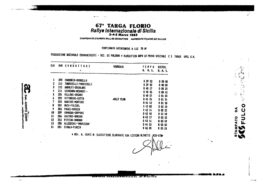## 67<sup>\*</sup> TARGA FLORIO<br>Railye internazionale di Sicilia<br>3-4-5 Marzo 1983

CAMPIONATO D'EUROPA RALLES CONDUTTORI AMPIONATO ITALIANO DEI RALLIES

### CAMPIONATO AUTOBIANCHI A 112 70 HP

FEDERAZIONE NAZIONALE CRONOMETRISTI - SEZ. DI PALERMO \* CLASSIFICA DOPO LA PROVA SPECIALE C 3 TARGA OPEL G.N.

| CLA                        |       | NUM CONDUTTORI         | SCUDERIA          | <b>TEMPO</b> | DIFFER.       |
|----------------------------|-------|------------------------|-------------------|--------------|---------------|
|                            |       |                        |                   | H. H.S.      | H. M. S.      |
| 1                          | 200   | CANOBBIO-OROBELLO      |                   | 0 39 52      | 00000         |
| 2                          | 215   | TORRICELLI-TORRICELLI  |                   | 0, 39, 52    | 0 00 00       |
| 3                          | 212   | AHDOLFI-ERCOLANI       |                   | 0,40,17      | $000$ 25      |
| 4                          | 211   | GIORDANO-MEDARDO -     |                   | 0.40.35      | 00043         |
| S                          | 204   | PELLONI-CASARI         |                   | 0,40,57      | 0 01 05       |
| 6                          | 202   | VITTAOINI-COTTO        | <b>JOLLY CLUB</b> | 04126        | 00134         |
| $\mathcal{F}_{\text{int}}$ | 205   | <b>NONTINI-MONTINI</b> |                   | 04142        | 0 01 50       |
| ß                          | 207   | NUIN-POLESEL           |                   | 0,42,02      | 00210         |
| 9                          | 203   | POGGI-HODICA           |                   | 04214        | 0 02 22       |
| $10-10$                    | 209   | CAVAGNA-CAPPONI        |                   | 0 42 40      | 0 02 48       |
| 11                         | 20، ک | AHATORI-MARINO         |                   | 04317        | $0$ $03$ $25$ |
| 12                         | 213   | PITTINO-HARANO         |                   | 0.43.41      | 0 03 49       |
| 13                         | 208   | ALLEGRINI-'NAUSICAA'   |                   | 0 44 55      | 0 05 03       |
| 14                         | 201   | CIGALA-PIAZZA          |                   | 0,5,20       | 0 05 28       |

**UBERTO** 

com

\* HOr. A. CONTI E: CLASSIFICHE ELABORATE CON SISTEMA OLIVETTI N20-STEM

 $\mathbf O$ 

 $\overline{\mathbf{C}}$ 

 $\mathbf{a}$ 

MPATO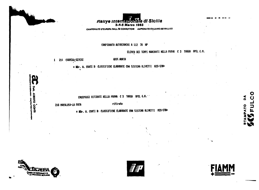

CAMPIONATO D'EUROPA RALLES CONDUTTORI AMPIONATO ITALIANO DEI RALLIES

### CAMPIONATO AUTOBIANCHI A 112 70 NP

ELERCO DEI TEMPI MANCANTI NELLA PROVA C 3 TARGA OPEL G.M.

1 214 CARRERA-SEVERI

### **GRIF.WURTH**

\* MDr. A. CONTI I: CLASSIFICHE ELABORATE CON SISTEMA OLIVETTI M20-STER

EQUIPAGGI RITIRATI NELLA PROVA C 3 TARGA OFEL G.H."

210 MACALUSO-LA FATA

ritirato

# MDr. A. CONTI M: CLASSIFICHE ELABORATE CON SISTEMA OLIVETTI M20-STM+



**Alatito** 

corn







 $\mathbf O$ 

۵

ATO

FULC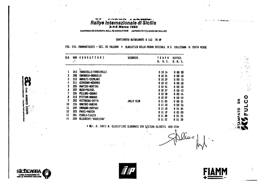## Railye Internazionale di Sicilia

CAMPIONATO D'EUROPA RALL, ÉS CONDUTTORI AMPIONATO ITALIANO DEI RALLIES

### CAMPIONATO AUTOBIANCHI A 112 70 HP

FED. ITA. CRONOMETRISTI - SEZ. DI PALERNO \* CLASSIFICA DELLA PROVA SFECIALE D 3 COLLESANO H. COSTA VERDE

| CLA |              | NUM CONDUTTORI         | SCUDERIA          | <b>TENPO</b> | DIFFER.      |
|-----|--------------|------------------------|-------------------|--------------|--------------|
|     | $\mathbf{r}$ |                        |                   | H. H. S.     | H. M. S.     |
|     |              |                        |                   |              |              |
| 1   | 215          | TORRICELLI-TORRICELLI  |                   | 01014        | 0 00 00      |
| 2   | 200          | CANOBBIO-OROBELLO      |                   | 01024        | 0 0 0<br>-10 |
| 3   | 212          | ANDOLFI-ERCOLANI       |                   | 0 10 29      | 0 00 15      |
| 4   | 211          | CIORDANO-MEDARDO       |                   | 01012        | 0028         |
| 5   | 205          | <b>NONTINI-NONTINI</b> |                   | 01054        | 00040        |
| 6   | 207          | <b>HUIN-POLESEL</b>    |                   | 0 10 57      | 00043        |
| 7   | 204          | PELLONI-CASARI         |                   | 01038        | 0004         |
| g   | 213          | PITTING-HARAHO         |                   | 0, 10, 59    | 00045        |
| 9   |              | 202 VITTADINI-COTTO    | <b>JOLLY CLUB</b> | 0 11 05      | 0,00,51      |
| 10  | 206          | ANATORI-NARINO         |                   | 0 11 10      | 0 00 54      |
| и   | 209          | CAVAGNA-CAPPONT        | $\epsilon$        | 01118        | 00104        |
| 12  | 203          | POGGI-MODICA           |                   |              |              |
| 13  | 201          | CIGALA-PIAZZA          |                   | 0 11 19      | 0 01 05      |
|     |              |                        |                   | 0 11 38      | 00124        |
| 14  | 208          | ALLEGRINI-'NAUSICAA'   |                   | 01152        | 01 38<br>ū   |

\* Wir. A. CONTI #: CLASSIFICHE ELABORATE CON SISTEMA OLIVETTI M20-STW\*





Woc

 $\sim 10$ 

 $\bullet$ 

 $\bar{\bm{\omega}}$ 

LOT

 $\mathbf{\hat{a}}$ 

ATO



ā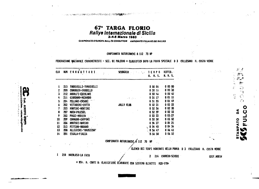67\* TARGA FLORIO<br>Rallye internazionale di Sicilia<br>3.4.5 Marzo 1983

A TO THE RESIDENCE TO A PROFESSION OF RESPONSIVE AND THE RESIDENCE OF THE RESPONSE OF THE RESPONSE OF THE RESPONSE OF THE RESPONSE OF THE RESPONSE OF THE RESPONSE OF THE RESPONSE OF THE RESPONSE OF THE RESPONSE OF THE RESP

radar na mendunut

**Alatito** 

**ABAU** 

CAMPIONATO D'EUROPA RALL. ES CONDUTTORI AMPIONATO ITALIANO DEI RALLIES

CAMPIONATO AUTOBIANCHI A 112 70 HP

FEDERAZIONE NAZIONALE CRONOMETRISTI - SEZ. DI PALERMO \* CLASSIFICA DOPO LA PROVA SPECIALE D 3 COLLESANO H. COSTA VERDE

| <b>CLA</b> |     | HUM CONDUTTORI        | SCUDERIA A PORTUGALE TENPO DIFFER. | H. N. S.   | H. N. S.                                  | $\mathcal{O}(\log \log n)$ | في نيو<br>$\mathcal{P}^{\text{max}}$<br>x.<br>جيلين |
|------------|-----|-----------------------|------------------------------------|------------|-------------------------------------------|----------------------------|-----------------------------------------------------|
|            |     |                       |                                    |            |                                           |                            | kýt.<br>$\frac{1}{2}$                               |
|            | 215 | TORRICELLI-TORRICELLI |                                    | 0,50,06    | 0000                                      |                            | $\tau$ %<br>$\frac{1}{2}$ .<br>$\frac{1}{2}$        |
|            | 200 | CANOBBIO-OROBELLO     |                                    | 0.50.13    | 00010                                     |                            | $\mathcal{F}_{\mathbf{1}}$                          |
|            | 212 | ANDOLFI-ERCOLANI      |                                    | 0.50.46    | 0 00 40                                   |                            |                                                     |
|            | 211 | CIORDANO-HEDARDO      | よる じいい                             | 0 51 17    | 0 01 11                                   |                            | $\frac{1}{2}$                                       |
|            | 204 | PELLOHI-CASARI        |                                    | 05155      | 0 01 49                                   |                            |                                                     |
|            | 202 | VITTADINI-COTTO       | <b>JOLLY CLUB</b>                  | 0, 52, 31  | 00225                                     |                            |                                                     |
|            | 205 | HONTINI-HONTINI       |                                    | 05236      | 00230                                     |                            |                                                     |
|            | 207 | <b>HUIN-POLESEL</b>   |                                    | 0 52 59    | 0 02 53                                   |                            | ⋖<br>۵                                              |
|            | 203 | POGGI-HODICA          |                                    | 0 53 33    | 0 03.27                                   |                            |                                                     |
| 10         | 209 | CAVAGNA-CAPPONI       |                                    | 0 53 58    | 0 03 52                                   |                            |                                                     |
| 11         | 206 | AMATORI-MARINO        |                                    | 05427      | 0 04 21                                   |                            | DUPATO                                              |
| 12         | 213 | PITTINO-MARANO        |                                    | 54 40<br>Ð | 0 04 34                                   |                            |                                                     |
| 13         | 208 | ALLEGRINI-'NAUSICAA'  |                                    | 0.56.47    | 00641                                     |                            |                                                     |
| 14         | 201 | CIGALA-PIAZZA         |                                    | $0.56$ 58  | 0 06 52                                   |                            |                                                     |
|            |     |                       | CAMPIONATO AUTOBIANCHI A 112 70 HP |            |                                           |                            | m                                                   |
|            |     |                       |                                    |            | ELENCO DEI TENPI HANCANTI NELLA PROVA D 3 | COLLESANO H. COSTA VERDE   |                                                     |
|            | 210 | MACALUSO-LA FATR      |                                    | 214        | CARRERA-SEVERI                            | GRIF.WIRTH                 |                                                     |

 $\mathbf O$ 

 $\overline{C}$ 

 $\begin{array}{c} \mathbf{U} \\ \mathbf{F} \end{array}$ 

\* HDr. A. CONTI #: CLASSIFICHE ELABORATE CON SISTEMA OLIVETTI N20-STR\*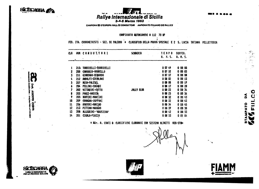



CAMPIONA 30 D'EUROPA RALLES CONDUTTON AMPIONATO ITALIANO DEI RALLIES

CAMPIONATO AUTOBIANCHI A 112 70 HP

FED. ITA. CRONOHETRISTI - SEZ. DI PALERNO = CLASSIFICA DELLA PROVA SPECIALE E 2 S. LUCIA TATIANA PELLETTERIA

| CLA |     | <b>NUM CONDUTTORI</b>     | <b>SCUDERIA</b>   | <b>TENPO</b><br>H. H. S. | DIFFER.<br>H. M. S. |
|-----|-----|---------------------------|-------------------|--------------------------|---------------------|
| 1   |     | 215 TORRICELLI-TORRICELLI |                   | 00749                    | 0 00 00             |
| 2   | 200 | CANOBBIO-OROBELLO         |                   | 00752                    | 0 00 03             |
| 3   | 211 | CIORDANO-MEDARDO          |                   | 00757                    | 00 08<br>8          |
|     | 212 | ANDOLFI-ERCOLANI          |                   | 00802                    | 00 13<br>Q          |
| Ŝ   | 207 | <b>HUIN-POLESEL</b>       |                   | 00806                    | 00 19<br>a          |
| L   | 204 | PELLONI-CASARI            |                   | 0 08 17                  | 00 29<br>O          |
|     | 202 | VITTADIRI-COTTO           | <b>JOLLY CLUB</b> | 00823                    | <b>0 OO 34</b>      |
| 8   | 203 | POGGI-HODICA              |                   | 00825                    | 00 36<br>Ð          |
| 9   | 205 | NONTINI-NONTINI           |                   | 0 08 32                  | 00 43<br>Ð          |
| 10  | 209 | CAVAGNA-CAPPONI           |                   | 0 08 32                  | 00 43<br>0          |
| 11  | 206 | ANATORI-MARINO            |                   | 0.08 <sub>34</sub>       | 00 45<br>O          |
| 12  | 213 | PITTINO-MARANO            |                   | 0 08 39                  | 00 50<br>Ō          |
| 13  | 208 | ALLEGRINI-'NAUSICAA'      |                   | 0.08 <sub>12</sub>       | 00 53<br>Ō          |
| 14  | 201 | CIGALA-PIAZZA             |                   | 0 08 53                  | 01 04<br>O          |
|     |     |                           |                   |                          |                     |

# WDr. A. CONTI #: CLASSIFICHE ELABORAIE CON SISTEMA OLIVETTI N20-ST#\*



 $\mathbf{O}$ U

n<br>E

**CASSA DI** MIA LE FI

Ě



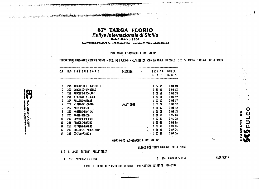67\* TARGA FLORIO Rallye Internazionale di Sicilia

CAMPIONATO D'EUROPA RALLES CONDUTTORI AMPIONATO ITALIANO DEI RALLIES

### CAMPIONATO AUTOBIANCHI A 112 70 HP

FEDERAZIONE NAZIONALE CRONOMETRISTI - SEZ. DI PALERNO \* CLASSIFICA DOPO LA PRÓVA SPECIALE E 2 S. LUCIA TATIANA PELLETTERIA

| ኚ R |     | NUM CONDUTTORI         | <b>SCUDERIA</b>   | T E N P O<br>H. M. S.                         | DIFFER.<br>H. M. S.    |
|-----|-----|------------------------|-------------------|-----------------------------------------------|------------------------|
| 1   | 215 | TORRICELLI-TORRICELLI  |                   | 0 57 55                                       | 0 00 00                |
| 2   | 200 | CANOBBIO-OROBELLO      |                   | 0,58<br>-08                                   | 0 00 13                |
| 3   | 212 | AHDOLFI-ERCOLANI       |                   | 0,58<br>-48                                   | 0 00 53                |
| 4   | 211 | CIORDANO-HEDARDO       |                   | 0.59.14                                       | 0 01 19                |
| 5   | 204 | <b>FELLONI-CASARI</b>  |                   | 1 00<br>-12                                   | 00217                  |
| 6   | 202 | VITTADINI-COTTO        | <b>JOLLY CLUB</b> | 1 00 54                                       | $002$ 59               |
| 7   | 207 | <b>KUIN-POLESEL</b>    |                   | 101<br>-67                                    | 0 03 12                |
| 8   | 205 | <b>MONTINI-NONTINI</b> |                   | 1 O1<br>98                                    | 0 <sub>03</sub><br>-13 |
| 9   | 203 | POGGI-HODICA           |                   | 1 01 58                                       | 0 04 OJ                |
| 10  | 209 | Cavagna-caffoni        |                   | 1 02 30                                       | 0 04 35                |
| 11  | 206 | ANATORI-MARINO         |                   | 1 03 01                                       | 0 05 06                |
| 12  | 213 | PITTINO-NARANO         |                   | 1 03<br>-19                                   | 0 05 24                |
| 13  | 208 | ALLEGRINI-'NAUSICAA'   |                   | Ñ<br>OS.<br>-29<br>1.                         | 0 07 34                |
| 14  | 201 | CIGRLA-PIAZZA          |                   | 05<br>-51<br>1<br>$\mathcal{N}_{\mathcal{N}}$ | 0 07 56                |

CAMPIONATO AUTOBIANCHI A 112 70 HP

ELENCO DEI TEMPI MANCANTI NELLA PROVA

2 214 CARRERA-SEVERI

О

 $\boldsymbol{\delta}$ 

PATO

**CRIF.WURTH** 

E 2 S. LUCIA TATIANA PELLETTERIA

1 210 KACALUSO-LA FATA

dentals all the states

ion. AlBEKTO COPITI<br>Ion. AlBEKTO COPITI

\* WOR. A. CONTI #: CLASSIFICHE ELABORATE CON SISTENA OLIVETTI M20-STM\*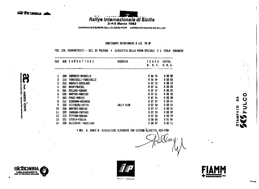**EXTREMEDIA** 



CAMPIONATO D'EUROPA RALLES CONDUTTORI AMPIONATO ITALIANO DEI RALLIES

### CAMPIONATO AUTOBIANCHI A 112 70 HP

FED. ITA. CRONOMETRISTI - SEZ. DI PALERMO \* CLASSIFICA DELLA PROVA SPECIALE F 2 FERLA CORSAUTO

| CLA |     | <b>NUM CONDUTTORI</b>   | <b>SCUDERIA</b>   | TEMPO<br>H. K. S.      | DIFFER.<br>H. M. S. |
|-----|-----|-------------------------|-------------------|------------------------|---------------------|
|     | 200 | CANOBBIO-OROBELLO       |                   | 0 06 56                | 00000               |
| 2   | 215 | TORRICELLI-TORRICELLI   |                   | 0 06 59                | 00 03<br>Ð          |
| 3   | 212 | ANDOLFI-ERCOLANI        |                   | 00713                  | 00 19<br>a          |
| 4   | 207 | KUIN-POLESEL            |                   | 0 07 16                | 00 20<br>o          |
| 5   | 204 | PELLONI-CASARI          |                   | 0 07 19                | 00 23<br>O          |
| 6   | 205 | NONTINI-NONTINI         |                   | 00731                  | 00 35<br>8          |
| 7   | 203 | POGGI-KODICA            |                   | $007$ 34               | 00 38<br>o          |
| 8   | 211 | <b>CIORDANO-MEDARDO</b> |                   | 0 <sub>07</sub> 37     | DO 41<br>ū          |
| 9   | 202 | VITTADINI-COTTO         | <b>JOLLY CLUB</b> | O 07<br>-40            | 0 00 44             |
| 10  | 206 | AMATORI-MARINO          |                   | O 07.<br>-47           | 0 00 51             |
| 11  | 209 | CAVAGNA-CAFFONI         | ٠                 | 007<br>-55             | 00 59               |
| 12  | 213 | PITTING-NARANO          |                   | 0 <sub>07</sub><br>-55 | 0 00 59             |
| 13  | 201 | CIGALA-PIAZZA           |                   | 0,08,00                | 00104               |
| 14  | 208 | ALLEGRINI-'NAUSJ('AA'   | $\bullet$         | 00807                  | 00111               |
|     |     |                         |                   |                        |                     |

\* WDr. A. CONTI W: CLASSIFICHE ELABORATE CON SISTEMA OLIVETTI\ M20-STR\*

نت.



化

 $\bullet$ 

ã

MPATO

FULC

CASSA DI RISPANIAO V.E. PER LE PROVINCE SICILIANE

an. Alatitro corm

i<br>S



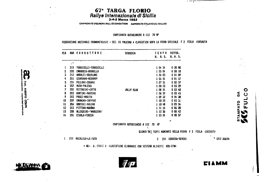## 67<sup>\*</sup> TARGA FLORIO<br>Rallye Internazionale di Sicilia<br>3-4-5 Marzo 1983

CAMPIONATO D'EUROPA RALL. ES CONDUTTORI AMPIONATO ITALIANO DEJ RALLIES

CAMPIONATO AUTOBIANCHI A 112 70 HP

FEDERAZIONE NAZIONALE CRONOMETRISTI - SEZ. DI PALERNO \* CLASSIFICA DOPO LA FROVA SPECIALE F 2 FERLA CORSAUTO

| CLA                     |              | <b>NUK CONDUTTORI</b>        | <b>SCUDERIA</b>   | TEHPO       | DIFFER.                |
|-------------------------|--------------|------------------------------|-------------------|-------------|------------------------|
|                         |              |                              |                   | H. N. S.    | H. N. S.               |
|                         | $\mathbf{r}$ |                              |                   |             |                        |
| ı                       | 215          | <b>TORRICELLI-TORRICELLI</b> |                   | 1 04 54     |                        |
| 2                       | 200          | CANOBBIO-OROBELLO            |                   | 1 05 04     | 0 00<br>-10            |
| $\overline{\mathbf{3}}$ | 212          | ANDOLFI-ERCOLANI             |                   | 1 06 03     | 0 01<br>09             |
| $\blacklozenge$         | 211          | GIORDANO-MEDARDO             |                   | 1 06 51     | 0 01 57                |
| 5                       | 204          | PELLONI-CASARI               |                   | 1 07 31     | 0 <sub>02</sub><br>-37 |
| 6                       | 207          | NUIN-POLESEL                 |                   | 1 08 23     | 0 03 29                |
| 7                       | 202          | VITTADINI-COTTO              | <b>JOLLY CLUB</b> | 1 08 34     | 00340                  |
| 8                       | 205          | NONTINI-NONTINI              |                   | 1 08 39     | 0.03.45                |
| 9                       | 203          | POGGI-HODICA                 |                   | 09 32<br>1  | 0 04<br>-38            |
| 10                      | 209          | CAVAGNA-CAFFONI              |                   | 10.25<br>ſ. | 0 05 31                |
| 11                      | 206          | AMATORI-MARINO               |                   | 1 10 48     | 0 05 54                |
| 12                      | 213          | PITTINO-MARANO               |                   | 1 11 14     | 0 06 20                |
| 13                      | 208          | ALLEGRINI-'NAUSICAA'         |                   | 1 13 36     | 0.0842                 |
| 14                      | 201          | CIGALA-PIAZZA                |                   | 1 13 51     | 0 08 57                |

CAMPIONATO AUTOBIANCHI A 112 70 KP

 $\mathbf{V}$ 

 $\overline{2}$ 

ELENCO DEI TEMPI MANCANTI NELLA PROVA F 2 FERLA CORSAUTO

\* GRIF, WURTH 214 CARRERA-SEVERI

ei a mm

 $\bullet$ 

 $\overline{O}$ 

 $\begin{bmatrix} 1 \\ 2 \end{bmatrix}$ 

 $\tilde{\mathbf{c}}$ 

MPATO

# ADr. A. CONTI #: CLASSIFICHE ELABORATE CON SISTEMA OLIVETTI M20-STA\*

1 210 KACALUSO-LA FATA



Я

pon. Alectro corm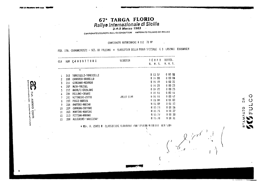AURERTO CONTI<br>AURERTO CONTI

# 67<sup>\*</sup> TARGA FLORIO<br>Rallye Internazionale di Sicilia

CAMPIONATO D'EUROPA RALLES CONDUTTORI AMPIONATO ITALIANO DEI RALLIES

CAMPIONATO AUTOBIANCHI A 112 70 NP

FED. ITA. CRONOMETRISTI - SEZ. DI PALERNO \* CLASSIFICA DELLA PROVA SPECIALE G.3 LASCARI EUROWAGEN

| CLA |     | <b>NUM CONDUTTORI</b> | SCUDERIA   | TEHPO          | DIFFER.         |
|-----|-----|-----------------------|------------|----------------|-----------------|
|     |     |                       |            | H. M. S.       | H. M. 5.        |
|     |     |                       |            |                |                 |
| I   | 215 | TORRICELLI-TORRICELLI |            | 01357          | $0\,00\,00$     |
| 2   | 200 | CANOBBIO-OROBELLO     |            | 0.1400         | 0 00 03         |
| 3   | 211 | GIORDANO-MEDARDO      |            | 01419          | 0 00 22         |
| 4   | 207 | <b>MUIN-FOLESEL</b>   |            | -20<br>$0 + 4$ | 0 00 23         |
| 5   | 212 | ANDOLFI-ERCOLANI      |            | 01422          | 00025           |
| 6   | 204 | FELLONI-CASARI        |            | 11141          | 0.00.44         |
| 7   | 202 | VITTADINI-COTTO       | JOLLY CLUB | 0 14 44        | 0,00,47         |
| a   | 203 | POGGI-NODICA          |            | $0 + 5 + 00$   | 0 01 03         |
| 9   | 206 | AMATORI-NARINO        |            | 8 15 02        | $0 \t01 \t12$   |
| 10  | 209 | CAVAGNA-CAFFONI       |            | 41 15 23       | $0$ 01 26       |
| Н   | 205 | NONTINI-NONTINI       | $\bullet$  | 0.15.74        | $0 \, 01 \, 27$ |
| 12  | 213 | PITTINO-NARANO        |            | A 15-27        | $0 \, 01 \, 30$ |
| 13  | 208 | ALLEGRINI-'NAUSICAA'  |            | 0 15 20        | $0.01 - 31$     |

\* MOP. A. CONTI W: CLASSIFICHE ELANOHAIE CON SISTINA OFIVITED BUD STWX

 $\tilde{\Omega}$  $\bm{\mathsf{C}}$ 12470

 $\circ$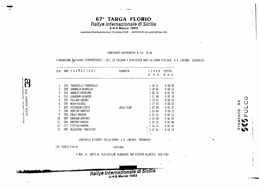

CAMPIONATO D'EUROPA RALLES CONDUTTORI AMPIONATO ITALIANO DEI RALLIES

#### CAMPIONATO AUTOBIANCHI A 112 70 HP

### FEDERAZIONE NOZIONALE CRONOMETRISTI - SEZ. DI FALERMO \* CLASSIFICA DOPO LA PROVA SPECIALE 63 LASCARI EUROVAGEN

| CL A                     |     | NUM CORDUITORI        | SCUDERIA          | TEXPO                             | OIFFER.                      |  |  |  |  |  |  |
|--------------------------|-----|-----------------------|-------------------|-----------------------------------|------------------------------|--|--|--|--|--|--|
|                          |     |                       | H. H. S.          | H. K. S.                          |                              |  |  |  |  |  |  |
|                          | 215 | TORRICELLI-TORRICELLI |                   | 1 18 51                           | 0000                         |  |  |  |  |  |  |
| 2                        | 200 | CANOBB10-OROBELLO     |                   | 1 19 04                           | 0 00 13                      |  |  |  |  |  |  |
| $\overline{3}$           | 212 | ANDOLFI-ERCOLANI      |                   | 1 20 25                           | 0 01 34                      |  |  |  |  |  |  |
| 4                        | 211 | GIORDANO-MEDARDO      |                   | 12110                             | 0 <sub>02<sub>19</sub></sub> |  |  |  |  |  |  |
| 5                        | 204 | FELLONI-CASARI        |                   | 1, 22, 12                         | 0 03 21                      |  |  |  |  |  |  |
| 6                        | 207 | <b>NUTN-FOLESEL</b>   |                   | 1 22 43                           | $0$ $03$ $52$                |  |  |  |  |  |  |
| $\overline{\phantom{a}}$ | 202 | VITTADINI-COTTO       | <b>JOLLY CLUB</b> | 1, 23, 18                         | 0 04 27                      |  |  |  |  |  |  |
| ê                        | 205 | KONTINI-NONTINI       |                   | 1, 24, 03                         | $0\,05\,12$                  |  |  |  |  |  |  |
| ŷ                        | 203 | <b>FOGGI-KODICA</b>   |                   | 1 24 32                           | 00551                        |  |  |  |  |  |  |
| 10                       | 209 | CAVACKA-CAFFONI       |                   | 1 25 48                           | 0,06,57                      |  |  |  |  |  |  |
| 11                       | 206 | ANATORI-MARINO        |                   | 1 25 57                           | 0 07 06                      |  |  |  |  |  |  |
| 12                       | 213 | PITTINO-MARANO        |                   | 1 26 41                           | 0 07 50                      |  |  |  |  |  |  |
| 13                       | 208 | ALLEGRINI-'NAUSICAA'  |                   | V<br>29.<br>-04<br>$\ddot{\cdot}$ | 0 10 13                      |  |  |  |  |  |  |

EQUIPAGGI RITIKATI NELLA FROVA 63 LASCARI EUKOWAGEN

O

⊃ lı.

 $\mathbf{\hat{p}}$ 

PATO

201 CHAMA PIRZZA ritirato

Coll. AlBERTO COMT<br>Coll. AlBERTO COMT

وأجهد

\* KOr. A. CONTI #: CLASSIFICHE ELABORATE CON SISTEMA OLIVETTI N20-STWP

Rallye Internazionale di Sicilia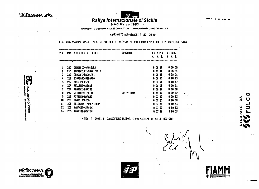**SICTIGNEER AS** 



CAMPIONATO D'EUROPA RALLES CONDUTTORI AMPIONATO ITALIANO DEI RALLIES

### CAMPIONATO AUTOBIANCHI A 112 70 NP

FED. ITA. CRONOMETRISTI - SEZ. DI PALERNO \* CLASSIFICA DELLA PROVA SPECIALE H 2 RAUILEIA SAVA

| αA |     | HUN CONDUTTORI        | SCUDERIA          | TENPO        | DIFFER.       |  |  |
|----|-----|-----------------------|-------------------|--------------|---------------|--|--|
|    |     |                       | H. K. S.          | H. M. S.     |               |  |  |
| 1  | 200 | CANOBBIO-OROBELLO     |                   | 0 06 27      | 00000         |  |  |
| 2  | 215 | TORRICELLI-TORRICELLI |                   | 0 06 31      | 00004         |  |  |
| 3  | 212 | ANDOLFT-ERCOLANI      |                   | 0 0  33      | 0 00 06       |  |  |
| 4  | 211 | CIORDANO-HEDARDO      |                   | 0 03 40      | 0 00 13       |  |  |
| 5  | 207 | <b>NUIN-POLESEL</b>   |                   | 0.06.44      | 00017         |  |  |
| 6  | 204 | PELLONI-CASARI        |                   | 0 0 6 48     | 00021         |  |  |
| 7  | 206 | ANATORI-KARINO        |                   | 0 06 57      | 000J          |  |  |
| 8  | 202 | VITTADINI-COTTO       | <b>JOLLY CLUB</b> | 0 0  59      | $0 \t00 \t32$ |  |  |
| 9  | 213 | PITTINO-NARANO        |                   | 0 07 00<br>٠ | 0 00 33       |  |  |
| 10 | 203 | POGGI-NODICA          |                   | 00705        | $0 \t00 \t38$ |  |  |
| 11 | 208 | ALLEGRINI-'NAUSICAA'  |                   | 07 20<br>o   | 0 00 53       |  |  |
| 12 | 209 | CAVACNA-CAFPONI       |                   | 07 20<br>O   | 0 00 53       |  |  |
| 13 | 205 | MONTINI-NONTINI       |                   | 07 24<br>Đ.  | 000 59        |  |  |
|    |     |                       |                   |              |               |  |  |

# NOr. A. CONTI N: CLASSIFICHE ELABORATE CON SISTEMA OLIVETTI M20-STN+

CASSA DI NOI PER LE PROVINCE SICILIANE

Alataro com

Ø





 $\mathbf{\tilde{a}}$ APATO

O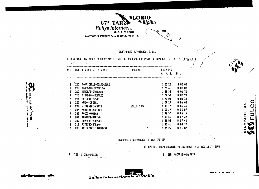

### CAMPIONATO AUTOBIANCHI A 112

FEDERAZIONE NAZIONALE CRONONETRISTI - SEZ. DI PALERNO \* CLASSIFICA DOPO LA E ROZA RE AUDILEIA

| $\mathbf{r}$ |            |                                       |            |                          |                          |  |
|--------------|------------|---------------------------------------|------------|--------------------------|--------------------------|--|
| ር୮ଖ          |            | NUM CONDUTTORI                        | SCUDERIA   | <b>TENPO</b><br>H. K. S. | H.,                      |  |
|              | 215        | TORRICELLI-TORRICELLI                 |            | 1 25 22                  | 0000                     |  |
| 2<br>3       | 200<br>212 | CANOBBIO-OROBELLO<br>ANDOLFI-ERCOLANI |            | 12531<br>1 26 58         | 00 0<br>Ū.<br>01 3<br>0. |  |
|              | 211        | GIORDANO-MEDARDO                      |            | 1 27 50                  | 0 02 2                   |  |
| 5            | 204        | FELLONI-CASARI                        |            | 1 29 00                  | 0 03 3                   |  |
| 6            | 207        | <b>NUIN-FOLESEL</b>                   |            | 1 29 27                  | 04 0.<br>0.              |  |
| 7            | 202        | VITTADINI-COTTO                       | JOLLY CLUB | 1 30 17                  | D4 5.<br>o               |  |
| 8            | 205        | NONTINI-NONTINI                       | ٠          | 1 31 29                  | <b>Q6 O</b><br>o         |  |
| 9            | 203        | POGGI-KODICA                          |            | 1 31 37                  | <b>B&amp;</b> 13<br>Ð    |  |
| 10           | 206        | AMATORI-MARINO                        |            | 1 32 54                  | 0 07 3.                  |  |
| 11           | 209        | CAVAGNA-CAFPONI                       |            | 1 33 08                  | 0,07,4                   |  |
| $12 \,$      | 213        | PITTINO-MARANO                        |            | 1 33 41                  | 0 08 19                  |  |
| 13           | 208        | ALLEGRINI-'NAUSICAA'                  | X          | 13624                    | 1100<br>Ð.               |  |

CAMPIONATO AUTOBIANCHI A 112 70 **N** 

> ELENCO DEI TEMPI MANCANTI NELLA PROVA H 2 AQUILEIA SAVA  $\frac{1}{4}$

 $\tilde{\Omega}$ 

PATO

210 KACALUSO-LA FATA  $\overline{2}$ 

201 CIGALA-FIAZZA  $\mathbf{1}$ 



 $\mathbf{a}$ 

**Doll.** ri<br>S š **ALBERTO** 

**Exten agains** 

Ī.

COMIN